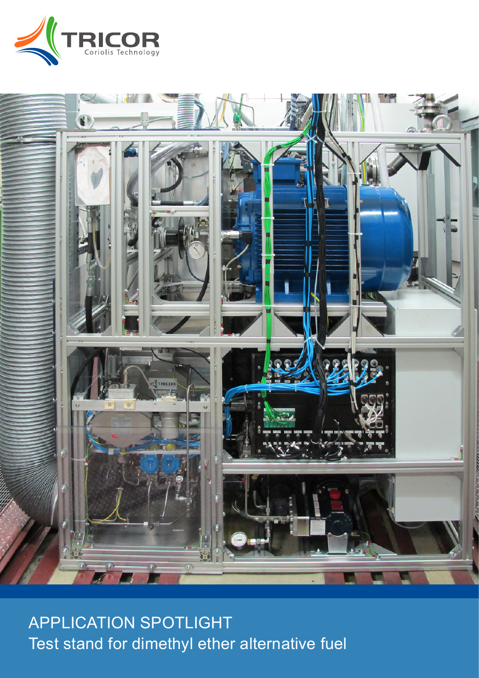



APPLICATION SPOTLIGHT Test stand for dimethyl ether alternative fuel